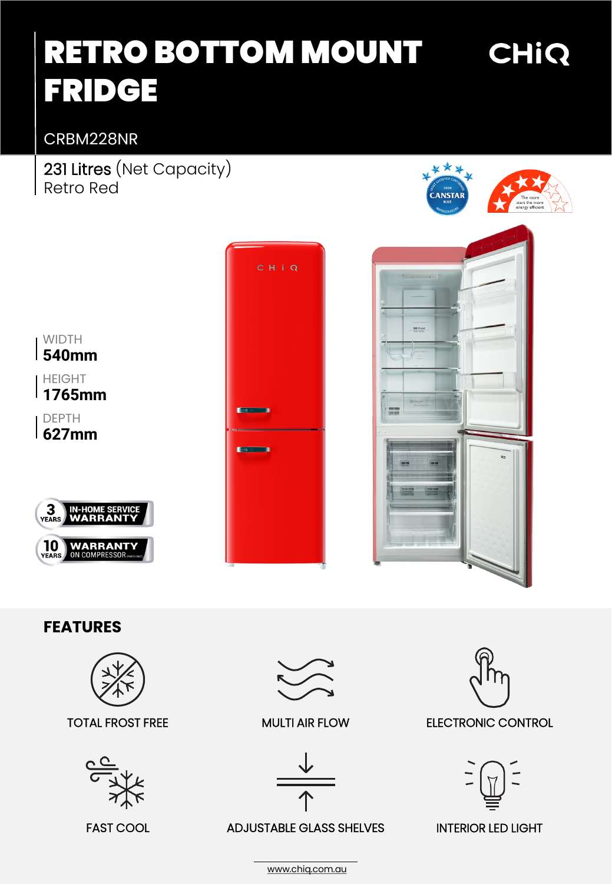# RETRO BOTTOM MOUNT FRIDGE

## CRBM228NR

231 Litres (Net Capacity) Retro Red



CHIQ







### **FEATURES**

**WARRANTY**<br>ON COMPRESSOR<sub>PMES</sub>



#### TOTAL FROST FREE MULTI AIR FLOW







ADJUSTABLE GLASS SHELVES FAST COOL INTERIOR LED LIGHT



ELECTRONIC CONTROL



[www.chiq.com.au](http://www.chiq.com.au/)